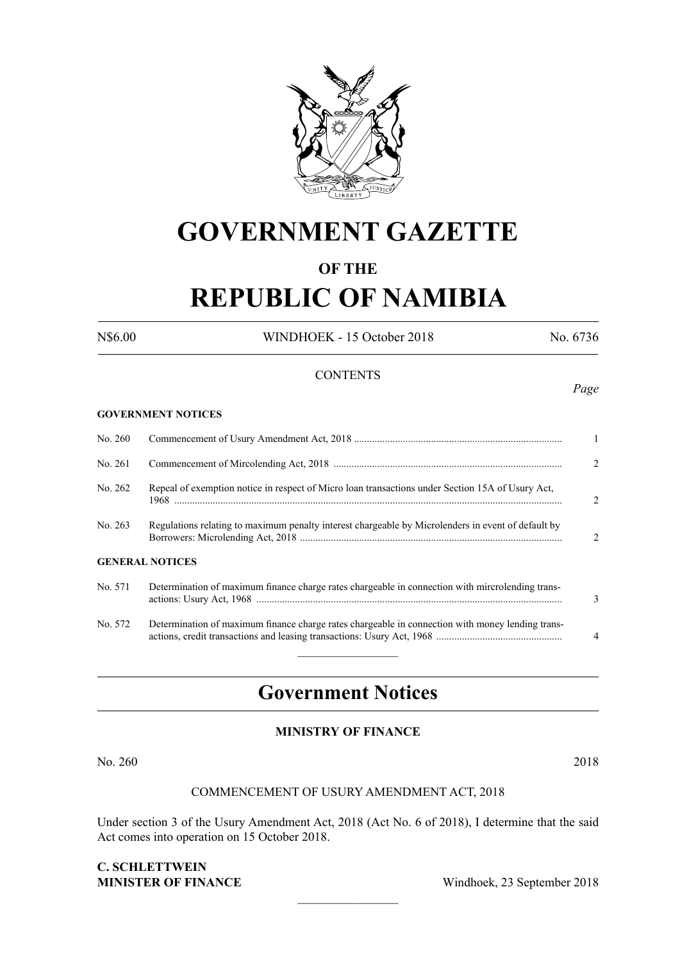

# **GOVERNMENT GAZETTE**

# **OF THE**

# **REPUBLIC OF NAMIBIA**

N\$6.00 WINDHOEK - 15 October 2018 No. 6736

*Page*

### **CONTENTS**

#### **GOVERNMENT NOTICES**

| No. 260                |                                                                                                    | $\mathbf{1}$   |
|------------------------|----------------------------------------------------------------------------------------------------|----------------|
| No. 261                |                                                                                                    | 2              |
| No. 262                | Repeal of exemption notice in respect of Micro loan transactions under Section 15A of Usury Act,   | $\mathfrak{D}$ |
| No. 263                | Regulations relating to maximum penalty interest chargeable by Microlenders in event of default by | $\mathcal{L}$  |
| <b>GENERAL NOTICES</b> |                                                                                                    |                |
| No. 571                | Determination of maximum finance charge rates chargeable in connection with mircrolending trans-   | 3              |
| No. 572                | Determination of maximum finance charge rates chargeable in connection with money lending trans-   | $\overline{4}$ |

# **Government Notices**

 $\frac{1}{2}$ 

### **MINISTRY OF FINANCE**

No. 260 2018

### COMMENCEMENT OF USURY AMENDMENT ACT, 2018

Under section 3 of the Usury Amendment Act, 2018 (Act No. 6 of 2018), I determine that the said Act comes into operation on 15 October 2018.

 $\overline{\phantom{a}}$  , where  $\overline{\phantom{a}}$ 

## **C. Schlettwein MINISTER OF FINANCE** Windhoek, 23 September 2018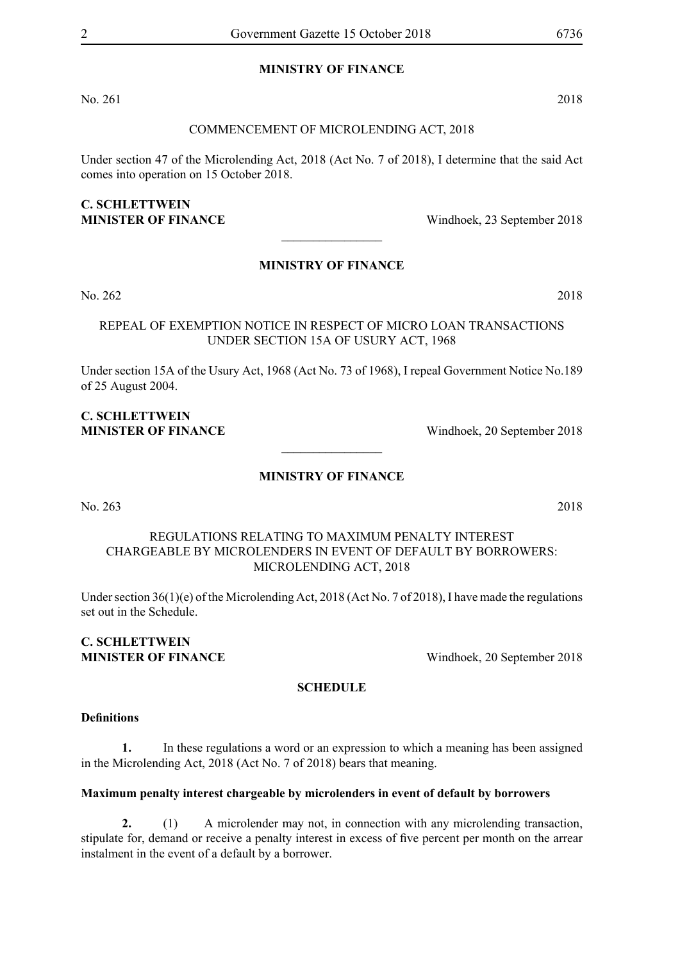### **MINISTRY OF FINANCE**

No. 261 2018

#### COMMENCEMENT OF MICROLENDING ACT, 2018

Under section 47 of the Microlending Act, 2018 (Act No. 7 of 2018), I determine that the said Act comes into operation on 15 October 2018.

# **C. Schlettwein**

**MINISTER OF FINANCE** Windhoek, 23 September 2018

## **MINISTRY OF FINANCE**

 $\overline{\phantom{a}}$  , where  $\overline{\phantom{a}}$ 

No. 262 2018

REPEAL OF EXEMPTION NOTICE IN RESPECT OF MICRO LOAN TRANSACTIONS UNDER SECTION 15A OF USURY ACT, 1968

Under section 15A of the Usury Act, 1968 (Act No. 73 of 1968), I repeal Government Notice No.189 of 25 August 2004.

### **C. Schlettwein MINISTER OF FINANCE** Windhoek, 20 September 2018

**MINISTRY OF FINANCE**

 $\overline{\phantom{a}}$  , where  $\overline{\phantom{a}}$ 

No. 263 2018

## REGULATIONS RELATING TO MAXIMUM PENALTY INTEREST CHARGEABLE BY MICROLENDERS IN EVENT OF DEFAULT BY BORROWERS: MICROLENDING ACT, 2018

Under section 36(1)(e) of the Microlending Act, 2018 (Act No. 7 of 2018), I have made the regulations set out in the Schedule.

# **C. Schlettwein**

**MINISTER OF FINANCE** Windhoek, 20 September 2018

### **SCHEDULE**

#### **Definitions**

**1.** In these regulations a word or an expression to which a meaning has been assigned in the Microlending Act, 2018 (Act No. 7 of 2018) bears that meaning.

### **Maximum penalty interest chargeable by microlenders in event of default by borrowers**

**2.** (1) A microlender may not, in connection with any microlending transaction, stipulate for, demand or receive a penalty interest in excess of five percent per month on the arrear instalment in the event of a default by a borrower.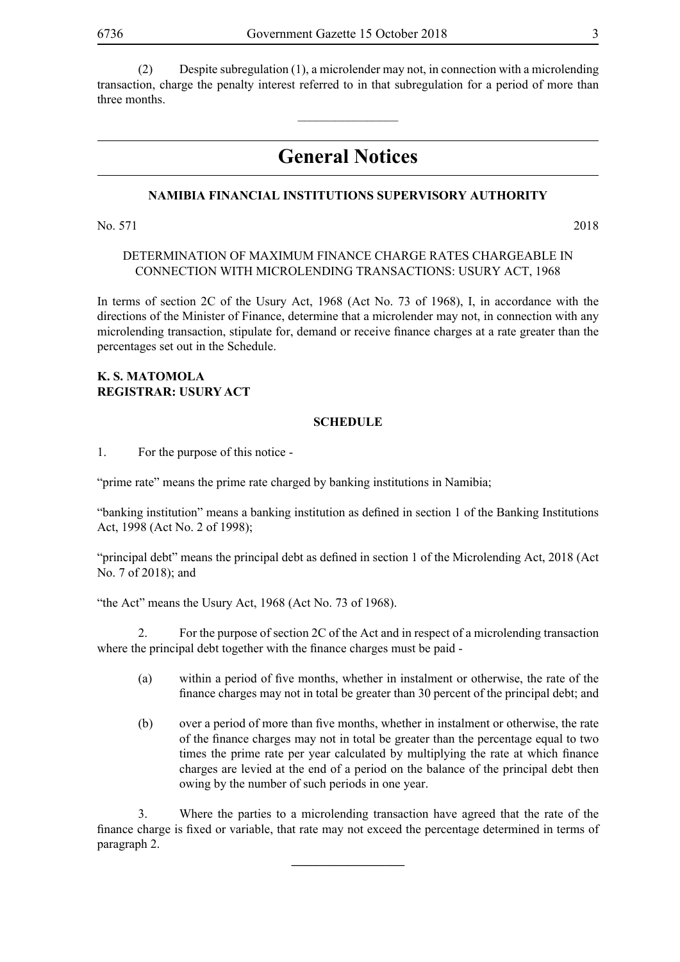(2) Despite subregulation (1), a microlender may not, in connection with a microlending transaction, charge the penalty interest referred to in that subregulation for a period of more than three months.

 $\overline{\phantom{a}}$  , where  $\overline{\phantom{a}}$ 

# **General Notices**

### **NAMIBIA FINANCIAL INSTITUTIONS SUPERVISORY AUTHORITY**

No. 571 2018

### DETERMINATION OF MAXIMUM FINANCE CHARGE RATES CHARGEABLE IN CONNECTION WITH MICROLENDING TRANSACTIONS: USURY ACT, 1968

In terms of section 2C of the Usury Act, 1968 (Act No. 73 of 1968), I, in accordance with the directions of the Minister of Finance, determine that a microlender may not, in connection with any microlending transaction, stipulate for, demand or receive finance charges at a rate greater than the percentages set out in the Schedule.

### **K. S. Matomola Registrar: USURY ACT**

### **SCHEDULE**

1. For the purpose of this notice -

"prime rate" means the prime rate charged by banking institutions in Namibia;

"banking institution" means a banking institution as defined in section 1 of the Banking Institutions Act, 1998 (Act No. 2 of 1998);

"principal debt" means the principal debt as defined in section 1 of the Microlending Act, 2018 (Act No. 7 of 2018); and

"the Act" means the Usury Act, 1968 (Act No. 73 of 1968).

2. For the purpose of section 2C of the Act and in respect of a microlending transaction where the principal debt together with the finance charges must be paid -

- (a) within a period of five months, whether in instalment or otherwise, the rate of the finance charges may not in total be greater than 30 percent of the principal debt; and
- (b) over a period of more than five months, whether in instalment or otherwise, the rate of the finance charges may not in total be greater than the percentage equal to two times the prime rate per year calculated by multiplying the rate at which finance charges are levied at the end of a period on the balance of the principal debt then owing by the number of such periods in one year.

3. Where the parties to a microlending transaction have agreed that the rate of the finance charge is fixed or variable, that rate may not exceed the percentage determined in terms of paragraph 2.

**\_\_\_\_\_\_\_\_\_\_\_\_\_\_\_\_\_\_**